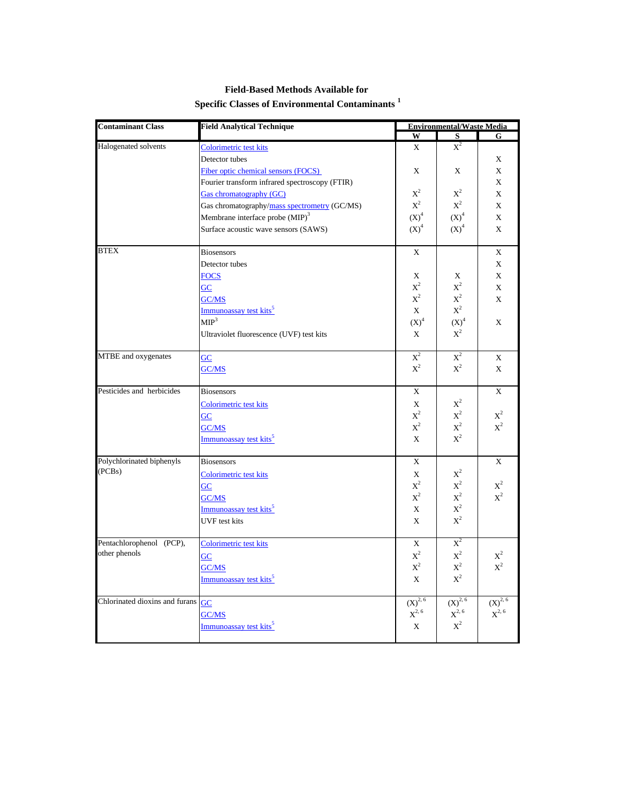| <b>Contaminant Class</b>                       | <b>Field Analytical Technique</b>              | <b>Environmental/Waste Media</b> |                                    |                |
|------------------------------------------------|------------------------------------------------|----------------------------------|------------------------------------|----------------|
|                                                |                                                | W                                | S                                  | G.             |
| Halogenated solvents                           | Colorimetric test kits                         | X                                | $X^2$                              |                |
|                                                | Detector tubes                                 |                                  |                                    | X              |
|                                                | Fiber optic chemical sensors (FOCS)            | X                                | X                                  | X              |
|                                                | Fourier transform infrared spectroscopy (FTIR) |                                  |                                    | X              |
|                                                | Gas chromatography (GC)                        | $\mathbf{X}^2$                   | $\mathbf{X}^2$                     | $\mathbf X$    |
|                                                | Gas chromatography/mass spectrometry (GC/MS)   | $\mathbf{X}^2$                   | $\mathbf{X}^2$                     | X              |
|                                                | Membrane interface probe (MIP) <sup>3</sup>    | $(X)^4$                          | $(X)^4$                            | X              |
|                                                | Surface acoustic wave sensors (SAWS)           | $(X)^4$                          | $(X)^4$                            | X              |
|                                                |                                                |                                  |                                    |                |
| <b>BTEX</b>                                    | <b>Biosensors</b>                              | X                                |                                    | X              |
|                                                | Detector tubes                                 |                                  |                                    | $\mathbf X$    |
|                                                | <b>FOCS</b>                                    | X                                | X                                  | X              |
|                                                | $\overline{GC}$                                | $\mathbf{X}^2$                   | $\mathbf{X}^2$                     | X              |
|                                                | GC/MS                                          | $\mathbf{X}^2$                   | $\mathbf{X}^2$                     | X              |
|                                                | Immunoassay test kits <sup>5</sup>             | X                                | $\mathbf{X}^2$                     |                |
|                                                | MIP <sup>3</sup>                               | $(X)^4$                          |                                    | X              |
|                                                |                                                |                                  | $\mathrm{(X)}^4$<br>$\mathbf{X}^2$ |                |
|                                                | Ultraviolet fluorescence (UVF) test kits       | X                                |                                    |                |
| MTBE and oxygenates                            | GC                                             | $X^2$                            | $\overline{X}^2$                   | X              |
|                                                | GC/MS                                          | $\mathbf{X}^2$                   | $X^2$                              | X              |
|                                                |                                                |                                  |                                    |                |
| Pesticides and herbicides                      | <b>Biosensors</b>                              | X                                |                                    | X              |
|                                                | Colorimetric test kits                         | X                                | $\text{X}^2$                       |                |
|                                                | GC                                             | $\mathbf{X}^2$                   | $\mathbf{X}^2$                     | $\mathbf{X}^2$ |
|                                                | GC/MS                                          | $\mathbf{X}^2$                   | $\mathbf{X}^2$                     | $\mathbf{X}^2$ |
|                                                | Immunoassay test kits <sup>5</sup>             | $\mathbf{x}$                     | $X^2$                              |                |
|                                                |                                                |                                  |                                    |                |
| Polychlorinated biphenyls                      | <b>Biosensors</b>                              | X                                |                                    | X              |
| (PCBs)                                         | Colorimetric test kits                         | X                                | $\mathbf{X}^2$                     |                |
|                                                | $\underline{GC}$                               | $\mathbf{X}^2$                   | $\mathbf{X}^2$                     | $X^2$          |
|                                                | GC/MS                                          | $\mathbf{X}^2$                   | $\mathbf{X}^2$                     | $X^2$          |
|                                                | Immunoassay test kits <sup>5</sup>             | X                                | $\mathbf{X}^2$                     |                |
|                                                | <b>UVF</b> test kits                           | X                                | $\mathbf{X}^2$                     |                |
|                                                |                                                |                                  |                                    |                |
| Pentachlorophenol (PCP),                       | Colorimetric test kits                         | X                                | $\mathrm{X}^2$                     |                |
| other phenols                                  | GC                                             | $\mathbf{X}^2$                   | $\mathbf{X}^2$                     | $X^2$          |
|                                                | GC/MS                                          | $\mathbf{X}^2$                   | $\mathbf{X}^2$                     | $\mathbf{X}^2$ |
|                                                | Immunoassay test kits <sup>5</sup>             | $\mathbf X$                      | $\mathbf{X}^2$                     |                |
|                                                |                                                |                                  |                                    |                |
| Chlorinated dioxins and furans $\overline{GC}$ |                                                | $(X)^{2, 6}$                     | $(X)^{2, 6}$                       | $(X)^{2, 6}$   |
|                                                | GC/MS                                          | $\mathrm{X}^{2,\,6}$             | $X^{2, 6}$                         | $X^{2, 6}$     |
|                                                | Immunoassay test kits <sup>5</sup>             | X                                | $\mathbf{X}^2$                     |                |
|                                                |                                                |                                  |                                    |                |

## **Field-Based Methods Available for Specific Classes of Environmental Contaminants <sup>1</sup>**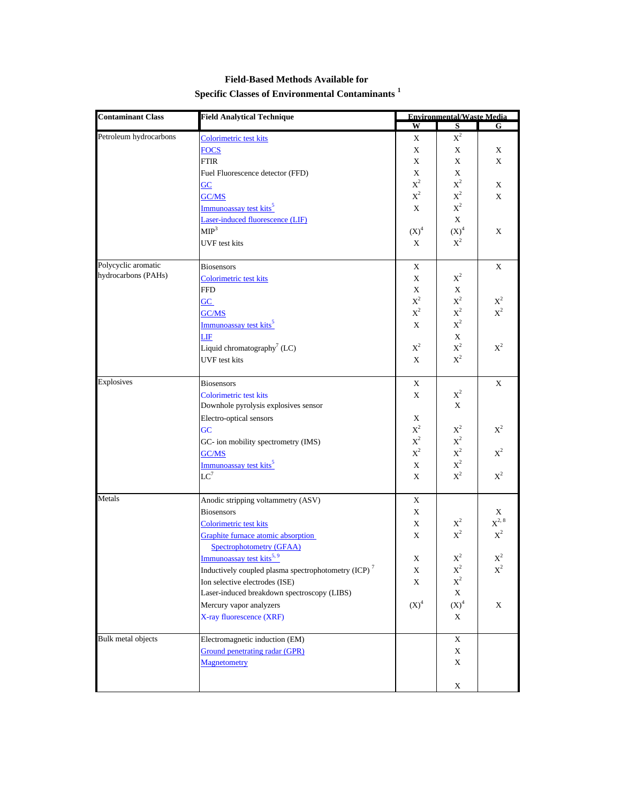| <b>Contaminant Class</b>  | <b>Field Analytical Technique</b>                               |                             | <b>Environmental/Waste Media</b> |                |  |
|---------------------------|-----------------------------------------------------------------|-----------------------------|----------------------------------|----------------|--|
|                           |                                                                 | W                           | S                                | G              |  |
| Petroleum hydrocarbons    | Colorimetric test kits                                          | X                           | $X^2$                            |                |  |
|                           | <b>FOCS</b>                                                     | X                           | X                                | X              |  |
|                           | FTIR                                                            | X                           | X                                | X              |  |
|                           | Fuel Fluorescence detector (FFD)                                | X                           | X                                |                |  |
|                           | GC                                                              | $\boldsymbol{\mathrm{X}}^2$ | $\mathrm{X}^2$                   | X              |  |
|                           | GC/MS                                                           | $\mathrm{X}^2$              | $\mathbf{X}^2$                   | X              |  |
|                           | Immunoassay test kits <sup>5</sup>                              | X                           | $\mathbf{X}^2$                   |                |  |
|                           | Laser-induced fluorescence (LIF)                                |                             | $\mathbf X$                      |                |  |
|                           | MIP <sup>3</sup>                                                | $(X)^4$                     | $(X)^4$                          | X              |  |
|                           | UVF test kits                                                   | X                           | $X^2$                            |                |  |
|                           |                                                                 |                             |                                  |                |  |
| Polycyclic aromatic       | <b>Biosensors</b>                                               | X                           |                                  | X              |  |
| hydrocarbons (PAHs)       | Colorimetric test kits                                          | X                           | $X^2$                            |                |  |
|                           | FFD                                                             | $\mathbf X$                 | X                                |                |  |
|                           | $\overline{GC}$                                                 | $X^2$                       | $\mathbf{X}^2$                   | $X^2$          |  |
|                           | GC/MS                                                           | $\boldsymbol{\mathrm{X}}^2$ | $\mathbf{X}^2$                   | $\mathbf{X}^2$ |  |
|                           | Immunoassay test kits <sup>5</sup>                              | X                           | $\mathbf{X}^2$                   |                |  |
|                           | LIF                                                             |                             | $\mathbf X$                      |                |  |
|                           | Liquid chromatography <sup>7</sup> (LC)                         | $\text{X}^2$                | $\mathbf{X}^2$                   | $X^2$          |  |
|                           | <b>UVF</b> test kits                                            | X                           | $\mathbf{X}^2$                   |                |  |
|                           |                                                                 |                             |                                  |                |  |
| <b>Explosives</b>         | <b>Biosensors</b>                                               | X                           |                                  | X              |  |
|                           | Colorimetric test kits                                          | X                           | $X^2$                            |                |  |
|                           | Downhole pyrolysis explosives sensor                            |                             | X                                |                |  |
|                           | Electro-optical sensors                                         | X                           |                                  |                |  |
|                           | GC                                                              | $X^2$                       | $X^2$                            | $X^2$          |  |
|                           | GC- ion mobility spectrometry (IMS)                             | $\boldsymbol{\mathrm{X}}^2$ | $\mathbf{X}^2$                   |                |  |
|                           | GC/MS                                                           | $X^2$                       | $\mathbf{X}^2$                   | $X^2$          |  |
|                           | Immunoassay test kits <sup>5</sup>                              | X                           | $\mathbf{X}^2$                   |                |  |
|                           | $LC^7$                                                          | X                           | $\mathbf{X}^2$                   | $X^2$          |  |
|                           |                                                                 |                             |                                  |                |  |
| Metals                    | Anodic stripping voltammetry (ASV)                              | X                           |                                  |                |  |
|                           | <b>Biosensors</b>                                               | X                           |                                  | X              |  |
|                           | Colorimetric test kits                                          | X                           | $X^2$                            | $X^{2, 8}$     |  |
|                           | Graphite furnace atomic absorption                              | X                           | $X^2$                            | $X^2$          |  |
|                           | <b>Spectrophotometry (GFAA)</b>                                 |                             |                                  |                |  |
|                           | Immunoassay test kits <sup>5,9</sup>                            | X                           | $\mathbf{X}^2$                   | $\mathbf{X}^2$ |  |
|                           | Inductively coupled plasma spectrophotometry (ICP) <sup>7</sup> | X                           | $X^2$                            | $X^2$          |  |
|                           | Ion selective electrodes (ISE)                                  | X                           | $\mathbf{X}^2$                   |                |  |
|                           | Laser-induced breakdown spectroscopy (LIBS)                     |                             | X                                |                |  |
|                           | Mercury vapor analyzers                                         | $(X)^4$                     | $(X)^4$                          | X              |  |
|                           | X-ray fluorescence (XRF)                                        |                             | X                                |                |  |
| <b>Bulk</b> metal objects | Electromagnetic induction (EM)                                  |                             | X                                |                |  |
|                           | Ground penetrating radar (GPR)                                  |                             | X                                |                |  |
|                           | Magnetometry                                                    |                             | X                                |                |  |
|                           |                                                                 |                             |                                  |                |  |
|                           |                                                                 |                             | X                                |                |  |

## **Field-Based Methods Available for Specific Classes of Environmental Contaminants <sup>1</sup>**